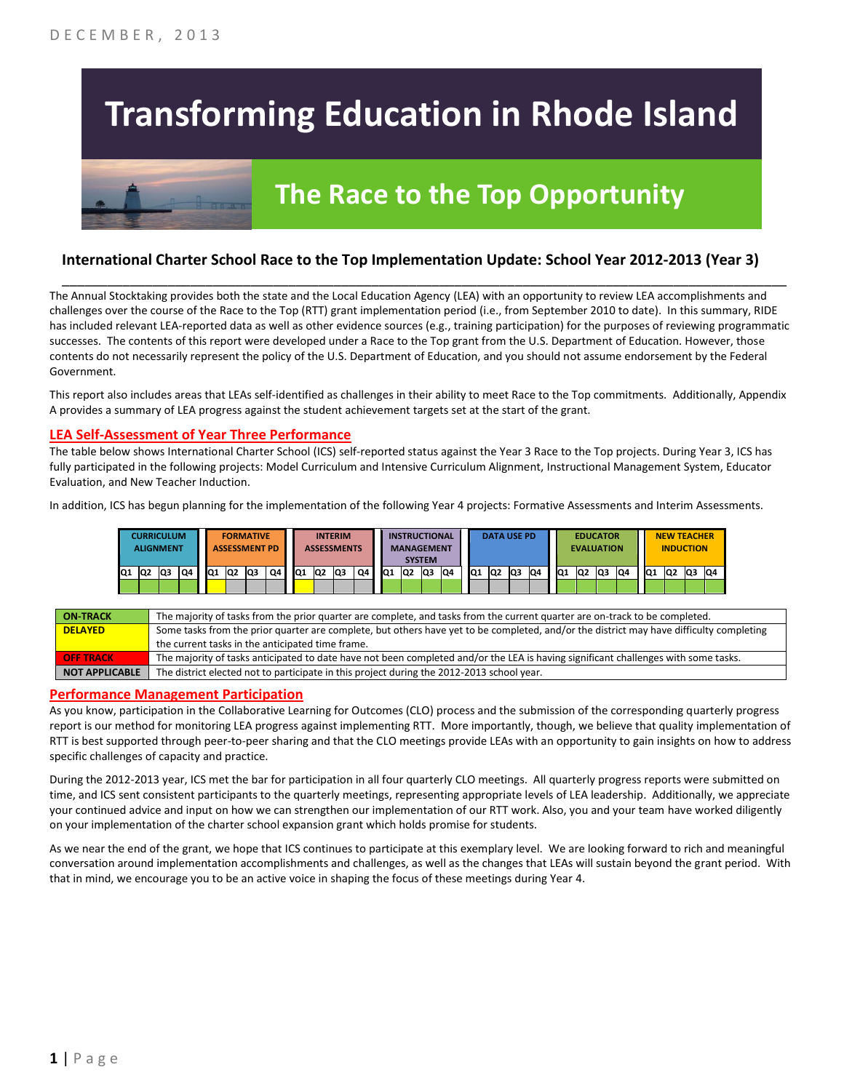# **Transforming Education in Rhode Island**



# **The Race to the Top Opportunity**

### **International Charter School Race to the Top Implementation Update: School Year 2012-2013 (Year 3)**

The Annual Stocktaking provides both the state and the Local Education Agency (LEA) with an opportunity to review LEA accomplishments and challenges over the course of the Race to the Top (RTT) grant implementation period (i.e., from September 2010 to date). In this summary, RIDE has included relevant LEA-reported data as well as other evidence sources (e.g., training participation) for the purposes of reviewing programmatic successes. The contents of this report were developed under a Race to the Top grant from the U.S. Department of Education. However, those contents do not necessarily represent the policy of the U.S. Department of Education, and you should not assume endorsement by the Federal Government.

\_\_\_\_\_\_\_\_\_\_\_\_\_\_\_\_\_\_\_\_\_\_\_\_\_\_\_\_\_\_\_\_\_\_\_\_\_\_\_\_\_\_\_\_\_\_\_\_\_\_\_\_\_\_\_\_\_\_\_\_\_\_\_\_\_\_\_\_\_\_\_\_\_\_\_\_\_\_\_\_\_\_\_\_\_\_\_\_\_\_\_\_\_\_\_\_

This report also includes areas that LEAs self-identified as challenges in their ability to meet Race to the Top commitments. Additionally, Appendix A provides a summary of LEA progress against the student achievement targets set at the start of the grant.

#### **LEA Self-Assessment of Year Three Performance**

The table below shows International Charter School (ICS) self-reported status against the Year 3 Race to the Top projects. During Year 3, ICS has fully participated in the following projects: Model Curriculum and Intensive Curriculum Alignment, Instructional Management System, Educator Evaluation, and New Teacher Induction.

In addition, ICS has begun planning for the implementation of the following Year 4 projects: Formative Assessments and Interim Assessments.

|     |    | CURRICULUM<br><b>ALIGNMENT</b> |    |    |                | <b>FORMATIVE</b><br><b>ASSESSMENT PD</b> |    |                 | <b>ASSESSMENTS</b> | <b>INTERIM</b> |    |                 |    | <b>INSTRUCTIONAL</b><br><b>MANAGEMENT</b><br><b>SYSTEM</b> |    |                 | <b>DATA USE PD</b><br><b>EDUCATOR</b><br><b>EVALUATION</b> |    | <b>NEW TEACHER</b><br><b>INDUCTION</b> |                 |    |     |    |                 |    |    |    |
|-----|----|--------------------------------|----|----|----------------|------------------------------------------|----|-----------------|--------------------|----------------|----|-----------------|----|------------------------------------------------------------|----|-----------------|------------------------------------------------------------|----|----------------------------------------|-----------------|----|-----|----|-----------------|----|----|----|
| IQ1 | Q2 | lQ3                            | Q4 | Q1 | Q <sub>2</sub> | lQ3                                      | Q4 | IQ <sub>1</sub> | Q <sub>2</sub>     | lQ3            | Q4 | IQ <sub>1</sub> | Q2 | Q3                                                         | Q4 | IQ <sub>1</sub> | <b>Q2</b>                                                  | Q3 | Q4                                     | IQ <sub>1</sub> | Q2 | lQ3 | Q4 | IQ <sub>1</sub> | Q2 | Q3 | Q4 |
|     |    |                                |    |    |                |                                          |    |                 |                    |                |    |                 |    |                                                            |    |                 |                                                            |    |                                        |                 |    |     |    |                 |    |    |    |

| <b>ON TRACK</b>       | The majority of tasks from the prior quarter are complete, and tasks from the current quarter are on-track to be completed.             |
|-----------------------|-----------------------------------------------------------------------------------------------------------------------------------------|
| <b>DELAYED</b>        | Some tasks from the prior quarter are complete, but others have yet to be completed, and/or the district may have difficulty completing |
|                       | the current tasks in the anticipated time frame.                                                                                        |
| <b>OFF TRACK</b>      | The majority of tasks anticipated to date have not been completed and/or the LEA is having significant challenges with some tasks.      |
| <b>NOT APPLICABLE</b> | The district elected not to participate in this project during the 2012-2013 school year.                                               |

#### **Performance Management Participation**

As you know, participation in the Collaborative Learning for Outcomes (CLO) process and the submission of the corresponding quarterly progress report is our method for monitoring LEA progress against implementing RTT. More importantly, though, we believe that quality implementation of RTT is best supported through peer-to-peer sharing and that the CLO meetings provide LEAs with an opportunity to gain insights on how to address specific challenges of capacity and practice.

During the 2012-2013 year, ICS met the bar for participation in all four quarterly CLO meetings. All quarterly progress reports were submitted on time, and ICS sent consistent participants to the quarterly meetings, representing appropriate levels of LEA leadership. Additionally, we appreciate your continued advice and input on how we can strengthen our implementation of our RTT work. Also, you and your team have worked diligently on your implementation of the charter school expansion grant which holds promise for students.

As we near the end of the grant, we hope that ICS continues to participate at this exemplary level. We are looking forward to rich and meaningful conversation around implementation accomplishments and challenges, as well as the changes that LEAs will sustain beyond the grant period. With that in mind, we encourage you to be an active voice in shaping the focus of these meetings during Year 4.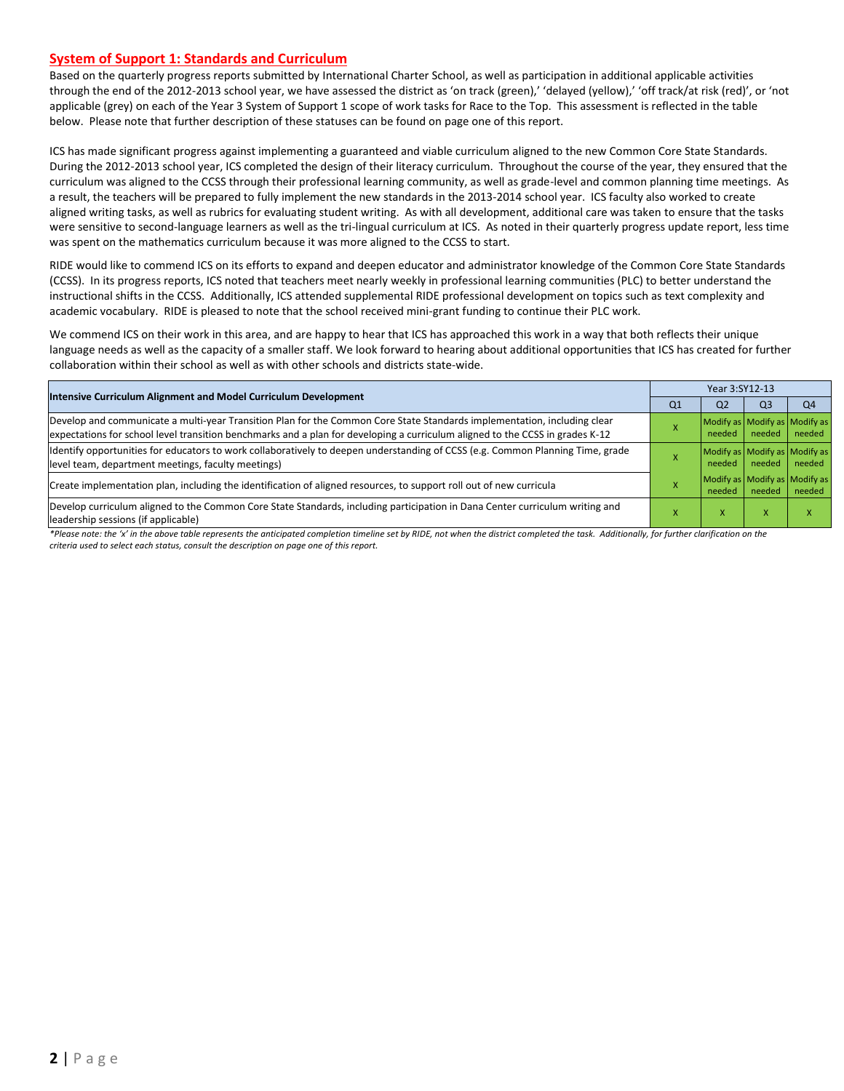#### **System of Support 1: Standards and Curriculum**

Based on the quarterly progress reports submitted by International Charter School, as well as participation in additional applicable activities through the end of the 2012-2013 school year, we have assessed the district as 'on track (green),' 'delayed (yellow),' 'off track/at risk (red)', or 'not applicable (grey) on each of the Year 3 System of Support 1 scope of work tasks for Race to the Top. This assessment is reflected in the table below. Please note that further description of these statuses can be found on page one of this report.

ICS has made significant progress against implementing a guaranteed and viable curriculum aligned to the new Common Core State Standards. During the 2012-2013 school year, ICS completed the design of their literacy curriculum. Throughout the course of the year, they ensured that the curriculum was aligned to the CCSS through their professional learning community, as well as grade-level and common planning time meetings. As a result, the teachers will be prepared to fully implement the new standards in the 2013-2014 school year. ICS faculty also worked to create aligned writing tasks, as well as rubrics for evaluating student writing. As with all development, additional care was taken to ensure that the tasks were sensitive to second-language learners as well as the tri-lingual curriculum at ICS. As noted in their quarterly progress update report, less time was spent on the mathematics curriculum because it was more aligned to the CCSS to start.

RIDE would like to commend ICS on its efforts to expand and deepen educator and administrator knowledge of the Common Core State Standards (CCSS). In its progress reports, ICS noted that teachers meet nearly weekly in professional learning communities (PLC) to better understand the instructional shifts in the CCSS. Additionally, ICS attended supplemental RIDE professional development on topics such as text complexity and academic vocabulary. RIDE is pleased to note that the school received mini-grant funding to continue their PLC work.

We commend ICS on their work in this area, and are happy to hear that ICS has approached this work in a way that both reflects their unique language needs as well as the capacity of a smaller staff. We look forward to hearing about additional opportunities that ICS has created for further collaboration within their school as well as with other schools and districts state-wide.

| <b>Intensive Curriculum Alignment and Model Curriculum Development</b>                                                                                                                                                                                    |    | Year 3:SY12-13                          |        |                |  |  |  |
|-----------------------------------------------------------------------------------------------------------------------------------------------------------------------------------------------------------------------------------------------------------|----|-----------------------------------------|--------|----------------|--|--|--|
|                                                                                                                                                                                                                                                           | Q1 | Q <sub>2</sub>                          | Q3     | Q <sub>4</sub> |  |  |  |
| Develop and communicate a multi-year Transition Plan for the Common Core State Standards implementation, including clear<br>expectations for school level transition benchmarks and a plan for developing a curriculum aligned to the CCSS in grades K-12 |    | Modify as Modify as Modify as<br>needed | needed | needed         |  |  |  |
| Ildentify opportunities for educators to work collaboratively to deepen understanding of CCSS (e.g. Common Planning Time, grade<br>level team, department meetings, faculty meetings)                                                                     |    | Modify as Modify as Modify as<br>needed | needed | needed         |  |  |  |
| Create implementation plan, including the identification of aligned resources, to support roll out of new curricula                                                                                                                                       |    | Modify as Modify as Modify as<br>needed | needed | needed         |  |  |  |
| Develop curriculum aligned to the Common Core State Standards, including participation in Dana Center curriculum writing and<br>leadership sessions (if applicable)                                                                                       |    | v                                       |        |                |  |  |  |

*\*Please note: the 'x' in the above table represents the anticipated completion timeline set by RIDE, not when the district completed the task. Additionally, for further clarification on the criteria used to select each status, consult the description on page one of this report.*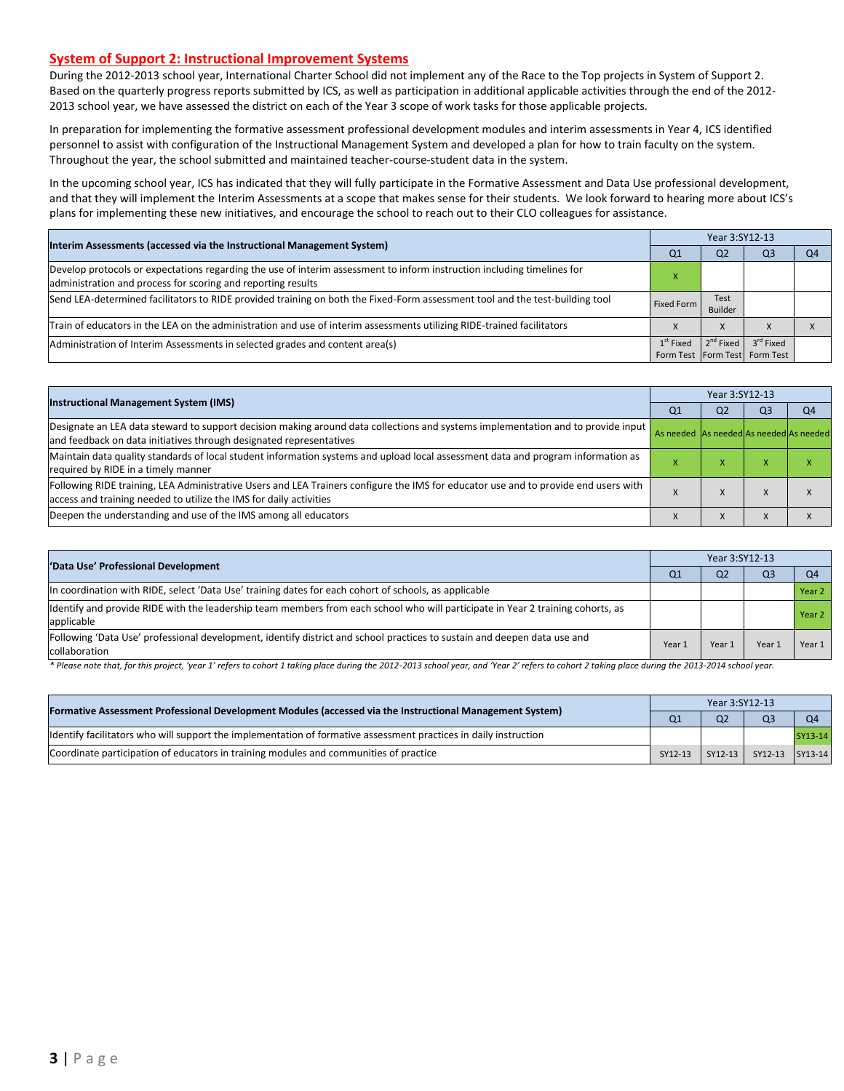#### **System of Support 2: Instructional Improvement Systems**

During the 2012-2013 school year, International Charter School did not implement any of the Race to the Top projects in System of Support 2. Based on the quarterly progress reports submitted by ICS, as well as participation in additional applicable activities through the end of the 2012- 2013 school year, we have assessed the district on each of the Year 3 scope of work tasks for those applicable projects.

In preparation for implementing the formative assessment professional development modules and interim assessments in Year 4, ICS identified personnel to assist with configuration of the Instructional Management System and developed a plan for how to train faculty on the system. Throughout the year, the school submitted and maintained teacher-course-student data in the system.

In the upcoming school year, ICS has indicated that they will fully participate in the Formative Assessment and Data Use professional development, and that they will implement the Interim Assessments at a scope that makes sense for their students. We look forward to hearing more about ICS's plans for implementing these new initiatives, and encourage the school to reach out to their CLO colleagues for assistance.

| Interim Assessments (accessed via the Instructional Management System)                                                                                                                  |             | Year 3:SY12-13         |                               |                |  |  |  |
|-----------------------------------------------------------------------------------------------------------------------------------------------------------------------------------------|-------------|------------------------|-------------------------------|----------------|--|--|--|
|                                                                                                                                                                                         | Q1          | Q <sub>2</sub>         | Q3                            | Q <sub>4</sub> |  |  |  |
| Develop protocols or expectations regarding the use of interim assessment to inform instruction including timelines for<br>administration and process for scoring and reporting results |             |                        |                               |                |  |  |  |
| Send LEA-determined facilitators to RIDE provided training on both the Fixed-Form assessment tool and the test-building tool                                                            | Fixed Form  | Test<br><b>Builder</b> |                               |                |  |  |  |
| Train of educators in the LEA on the administration and use of interim assessments utilizing RIDE-trained facilitators                                                                  |             | X                      |                               |                |  |  |  |
| Administration of Interim Assessments in selected grades and content area(s)                                                                                                            | $1st$ Fixed | $2^{nd}$ Fixed         | 3 <sup>rd</sup> Fixed         |                |  |  |  |
|                                                                                                                                                                                         |             |                        | Form Test Form Test Form Test |                |  |  |  |

| <b>Instructional Management System (IMS)</b>                                                                                                                                                              |                                         | Year 3:SY12-13 |                |                |  |  |  |
|-----------------------------------------------------------------------------------------------------------------------------------------------------------------------------------------------------------|-----------------------------------------|----------------|----------------|----------------|--|--|--|
|                                                                                                                                                                                                           | Q <sub>1</sub>                          | Q <sub>2</sub> | Q <sub>3</sub> | Q <sub>4</sub> |  |  |  |
| Designate an LEA data steward to support decision making around data collections and systems implementation and to provide input<br>and feedback on data initiatives through designated representatives   | As needed As needed As needed As needed |                |                |                |  |  |  |
| Maintain data quality standards of local student information systems and upload local assessment data and program information as<br>required by RIDE in a timely manner                                   |                                         |                | ⋏              | $\sqrt{ }$     |  |  |  |
| Following RIDE training, LEA Administrative Users and LEA Trainers configure the IMS for educator use and to provide end users with<br>access and training needed to utilize the IMS for daily activities |                                         |                |                |                |  |  |  |
| Deepen the understanding and use of the IMS among all educators                                                                                                                                           | $\lambda$                               |                |                |                |  |  |  |

| 'Data Use' Professional Development                                                                                                           | Year 3:SY12-13 |                |       |        |  |  |
|-----------------------------------------------------------------------------------------------------------------------------------------------|----------------|----------------|-------|--------|--|--|
|                                                                                                                                               | Q1             | Q <sub>2</sub> | Q3    |        |  |  |
| In coordination with RIDE, select 'Data Use' training dates for each cohort of schools, as applicable                                         |                |                |       | Year 2 |  |  |
| Identify and provide RIDE with the leadership team members from each school who will participate in Year 2 training cohorts, as<br>applicable |                |                |       | Year 2 |  |  |
| Following 'Data Use' professional development, identify district and school practices to sustain and deepen data use and<br>collaboration     | Year 1         | Year 1         | Year: | Year 1 |  |  |

\* Please note that, for this project, 'year 1' refers to cohort 1 taking place during the 2012-2013 school year, and 'Year 2' refers to cohort 2 taking place during the 2013-2014 school year.

| [Formative Assessment Professional Development Modules (accessed via the Instructional Management System)         |         |                | Year 3:SY12-13          |         |  |  |  |  |
|-------------------------------------------------------------------------------------------------------------------|---------|----------------|-------------------------|---------|--|--|--|--|
|                                                                                                                   |         | Q <sub>2</sub> |                         |         |  |  |  |  |
| Ildentify facilitators who will support the implementation of formative assessment practices in daily instruction |         |                |                         | SY13-14 |  |  |  |  |
| Coordinate participation of educators in training modules and communities of practice                             | SY12-13 |                | SY12-13 SY12-13 SY13-14 |         |  |  |  |  |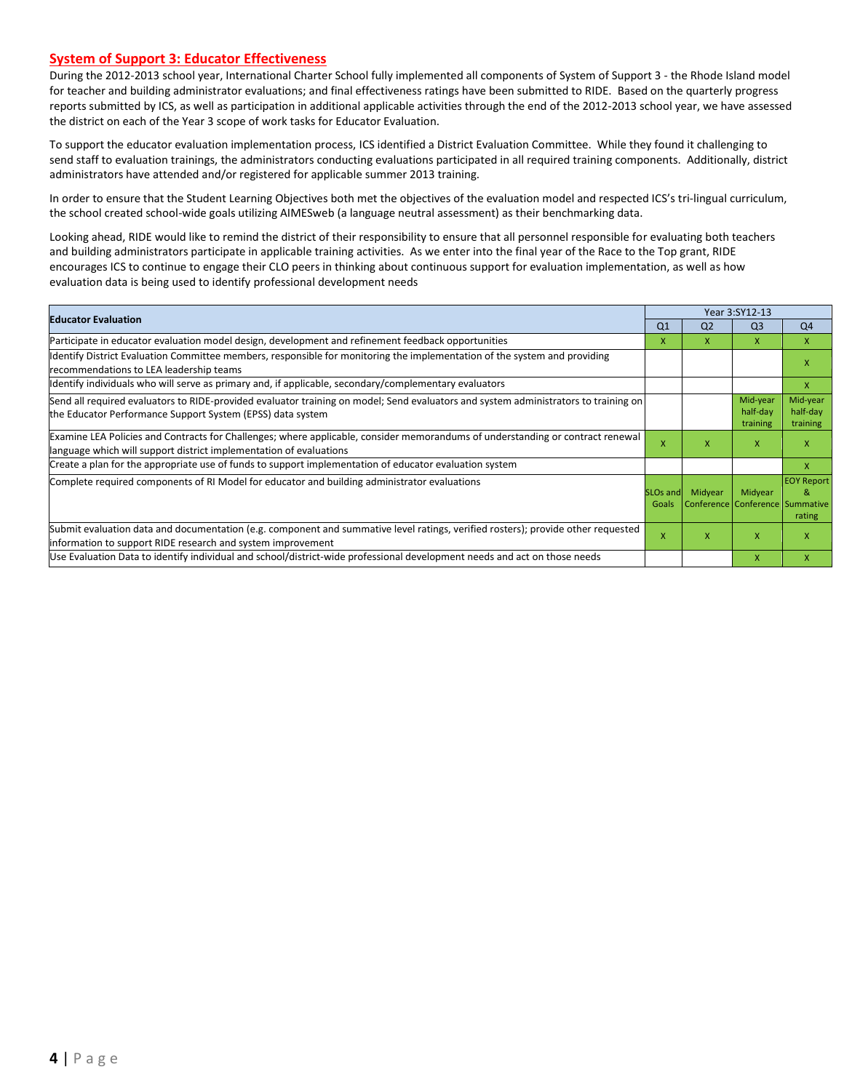#### **System of Support 3: Educator Effectiveness**

During the 2012-2013 school year, International Charter School fully implemented all components of System of Support 3 - the Rhode Island model for teacher and building administrator evaluations; and final effectiveness ratings have been submitted to RIDE. Based on the quarterly progress reports submitted by ICS, as well as participation in additional applicable activities through the end of the 2012-2013 school year, we have assessed the district on each of the Year 3 scope of work tasks for Educator Evaluation.

To support the educator evaluation implementation process, ICS identified a District Evaluation Committee. While they found it challenging to send staff to evaluation trainings, the administrators conducting evaluations participated in all required training components. Additionally, district administrators have attended and/or registered for applicable summer 2013 training.

In order to ensure that the Student Learning Objectives both met the objectives of the evaluation model and respected ICS's tri-lingual curriculum, the school created school-wide goals utilizing AIMESweb (a language neutral assessment) as their benchmarking data.

Looking ahead, RIDE would like to remind the district of their responsibility to ensure that all personnel responsible for evaluating both teachers and building administrators participate in applicable training activities. As we enter into the final year of the Race to the Top grant, RIDE encourages ICS to continue to engage their CLO peers in thinking about continuous support for evaluation implementation, as well as how evaluation data is being used to identify professional development needs

| <b>Educator Evaluation</b>                                                                                                                                                                           |                          |                                            | Year 3:SY12-13                   |                                  |
|------------------------------------------------------------------------------------------------------------------------------------------------------------------------------------------------------|--------------------------|--------------------------------------------|----------------------------------|----------------------------------|
|                                                                                                                                                                                                      | Q <sub>1</sub>           | Q <sub>2</sub>                             | Q <sub>3</sub>                   | Q <sub>4</sub>                   |
| Participate in educator evaluation model design, development and refinement feedback opportunities                                                                                                   | x                        | X.                                         | X                                | X                                |
| Identify District Evaluation Committee members, responsible for monitoring the implementation of the system and providing<br>recommendations to LEA leadership teams                                 |                          |                                            |                                  | x                                |
| ldentify individuals who will serve as primary and, if applicable, secondary/complementary evaluators                                                                                                |                          |                                            |                                  | X                                |
| Send all required evaluators to RIDE-provided evaluator training on model; Send evaluators and system administrators to training on<br>the Educator Performance Support System (EPSS) data system    |                          |                                            | Mid-year<br>half-day<br>training | Mid-year<br>half-day<br>training |
| Examine LEA Policies and Contracts for Challenges; where applicable, consider memorandums of understanding or contract renewal<br>language which will support district implementation of evaluations | X                        | X                                          | X                                | X                                |
| Create a plan for the appropriate use of funds to support implementation of educator evaluation system                                                                                               |                          |                                            |                                  | x                                |
| Complete required components of RI Model for educator and building administrator evaluations                                                                                                         | <b>SLOs and</b><br>Goals | Midyear<br>Conference Conference Summative | Midyear                          | <b>EOY Report</b><br>&<br>rating |
| Submit evaluation data and documentation (e.g. component and summative level ratings, verified rosters); provide other requested<br>information to support RIDE research and system improvement      |                          | x                                          | X                                | X                                |
| Use Evaluation Data to identify individual and school/district-wide professional development needs and act on those needs                                                                            |                          |                                            | $\mathsf{x}$                     | x                                |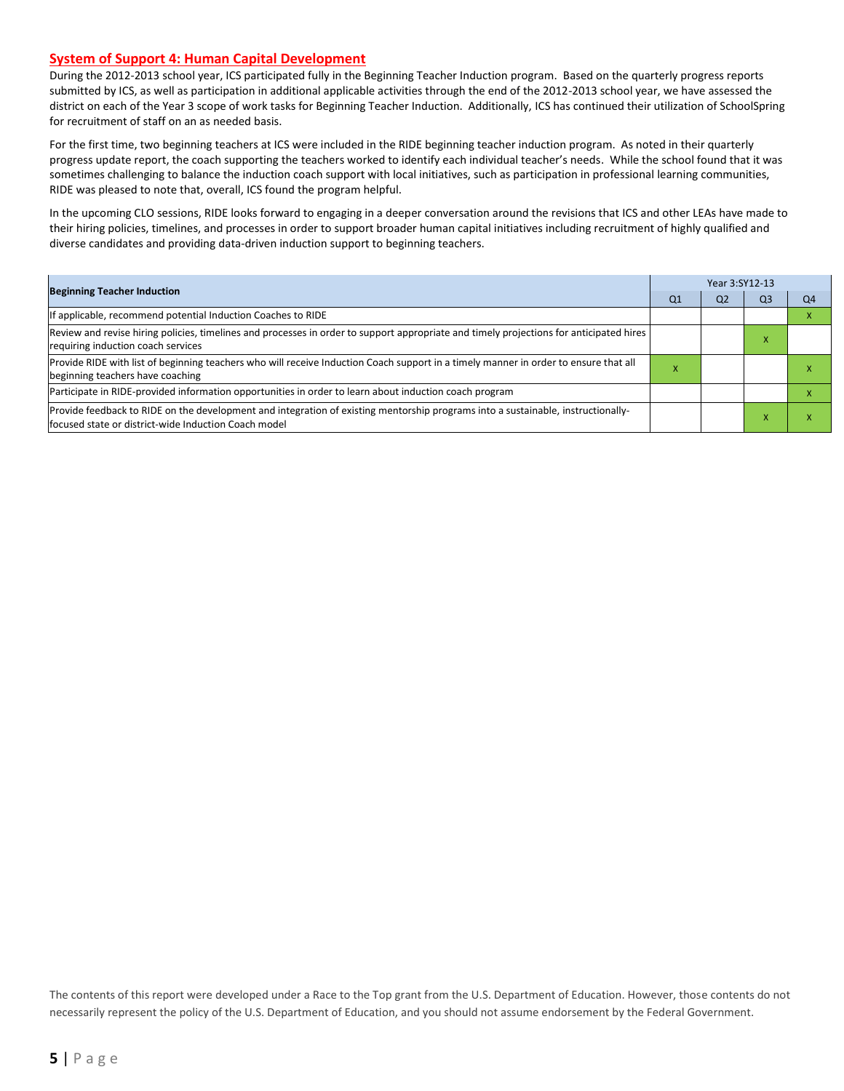#### **System of Support 4: Human Capital Development**

During the 2012-2013 school year, ICS participated fully in the Beginning Teacher Induction program. Based on the quarterly progress reports submitted by ICS, as well as participation in additional applicable activities through the end of the 2012-2013 school year, we have assessed the district on each of the Year 3 scope of work tasks for Beginning Teacher Induction. Additionally, ICS has continued their utilization of SchoolSpring for recruitment of staff on an as needed basis.

For the first time, two beginning teachers at ICS were included in the RIDE beginning teacher induction program. As noted in their quarterly progress update report, the coach supporting the teachers worked to identify each individual teacher's needs. While the school found that it was sometimes challenging to balance the induction coach support with local initiatives, such as participation in professional learning communities, RIDE was pleased to note that, overall, ICS found the program helpful.

In the upcoming CLO sessions, RIDE looks forward to engaging in a deeper conversation around the revisions that ICS and other LEAs have made to their hiring policies, timelines, and processes in order to support broader human capital initiatives including recruitment of highly qualified and diverse candidates and providing data-driven induction support to beginning teachers.

| <b>Beginning Teacher Induction</b>                                                                                                                                                        |           | Year 3:SY12-13 |              |    |  |  |  |
|-------------------------------------------------------------------------------------------------------------------------------------------------------------------------------------------|-----------|----------------|--------------|----|--|--|--|
|                                                                                                                                                                                           | Q1        | Q <sub>2</sub> | Q3           | Q4 |  |  |  |
| If applicable, recommend potential Induction Coaches to RIDE                                                                                                                              |           |                |              |    |  |  |  |
| Review and revise hiring policies, timelines and processes in order to support appropriate and timely projections for anticipated hires<br>requiring induction coach services             |           |                | $\mathbf{A}$ |    |  |  |  |
| Provide RIDE with list of beginning teachers who will receive Induction Coach support in a timely manner in order to ensure that all<br>beginning teachers have coaching                  | $\lambda$ |                |              |    |  |  |  |
| Participate in RIDE-provided information opportunities in order to learn about induction coach program                                                                                    |           |                |              |    |  |  |  |
| Provide feedback to RIDE on the development and integration of existing mentorship programs into a sustainable, instructionally-<br>lfocused state or district-wide Induction Coach model |           |                |              |    |  |  |  |

The contents of this report were developed under a Race to the Top grant from the U.S. Department of Education. However, those contents do not necessarily represent the policy of the U.S. Department of Education, and you should not assume endorsement by the Federal Government.